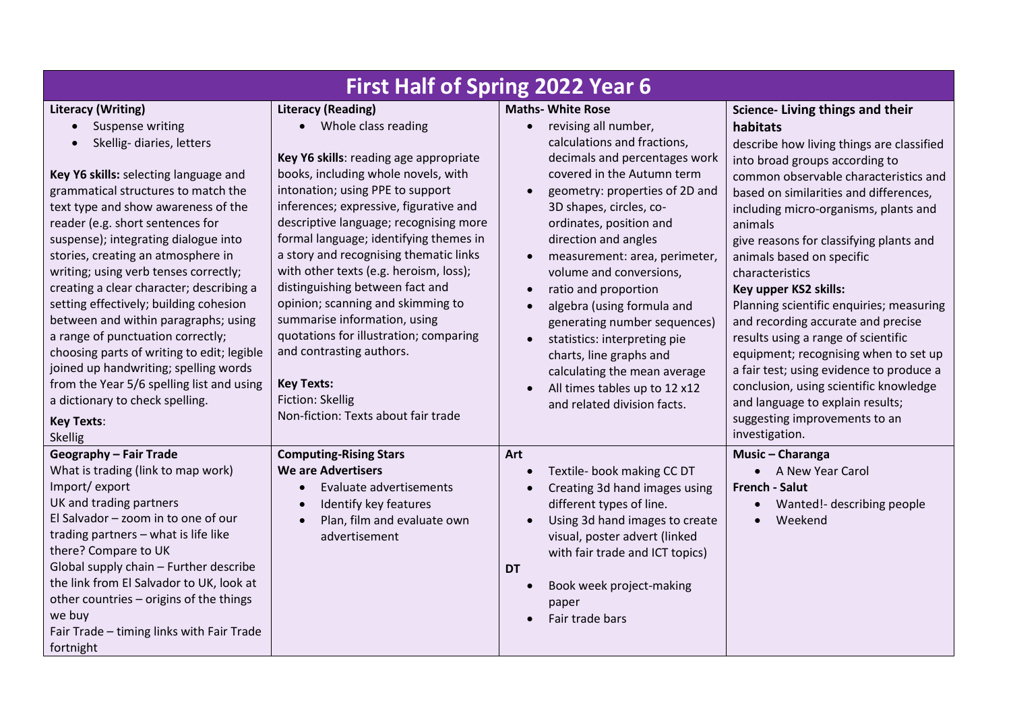| <b>First Half of Spring 2022 Year 6</b>                                                                                                                                                                                                                                                                                                                                                                                                                                                                                                                                                                                                                                                                                                                    |                                                                                                                                                                                                                                                                                                                                                                                                                                                                                                                                                                                                                                                         |                                                                                                                                                                                                                                                                                                                                                                                                                                                                                                                                                                                          |                                                                                                                                                                                                                                                                                                                                                                                                                                                                                                                                                                                                                                                                                                                                       |  |
|------------------------------------------------------------------------------------------------------------------------------------------------------------------------------------------------------------------------------------------------------------------------------------------------------------------------------------------------------------------------------------------------------------------------------------------------------------------------------------------------------------------------------------------------------------------------------------------------------------------------------------------------------------------------------------------------------------------------------------------------------------|---------------------------------------------------------------------------------------------------------------------------------------------------------------------------------------------------------------------------------------------------------------------------------------------------------------------------------------------------------------------------------------------------------------------------------------------------------------------------------------------------------------------------------------------------------------------------------------------------------------------------------------------------------|------------------------------------------------------------------------------------------------------------------------------------------------------------------------------------------------------------------------------------------------------------------------------------------------------------------------------------------------------------------------------------------------------------------------------------------------------------------------------------------------------------------------------------------------------------------------------------------|---------------------------------------------------------------------------------------------------------------------------------------------------------------------------------------------------------------------------------------------------------------------------------------------------------------------------------------------------------------------------------------------------------------------------------------------------------------------------------------------------------------------------------------------------------------------------------------------------------------------------------------------------------------------------------------------------------------------------------------|--|
| <b>Literacy (Writing)</b><br>Suspense writing<br>$\bullet$<br>Skellig- diaries, letters<br>Key Y6 skills: selecting language and<br>grammatical structures to match the<br>text type and show awareness of the<br>reader (e.g. short sentences for<br>suspense); integrating dialogue into<br>stories, creating an atmosphere in<br>writing; using verb tenses correctly;<br>creating a clear character; describing a<br>setting effectively; building cohesion<br>between and within paragraphs; using<br>a range of punctuation correctly;<br>choosing parts of writing to edit; legible<br>joined up handwriting; spelling words<br>from the Year 5/6 spelling list and using<br>a dictionary to check spelling.<br><b>Key Texts:</b><br><b>Skellig</b> | <b>Literacy (Reading)</b><br>• Whole class reading<br>Key Y6 skills: reading age appropriate<br>books, including whole novels, with<br>intonation; using PPE to support<br>inferences; expressive, figurative and<br>descriptive language; recognising more<br>formal language; identifying themes in<br>a story and recognising thematic links<br>with other texts (e.g. heroism, loss);<br>distinguishing between fact and<br>opinion; scanning and skimming to<br>summarise information, using<br>quotations for illustration; comparing<br>and contrasting authors.<br><b>Key Texts:</b><br>Fiction: Skellig<br>Non-fiction: Texts about fair trade | <b>Maths- White Rose</b><br>revising all number,<br>$\bullet$<br>calculations and fractions,<br>decimals and percentages work<br>covered in the Autumn term<br>geometry: properties of 2D and<br>3D shapes, circles, co-<br>ordinates, position and<br>direction and angles<br>measurement: area, perimeter,<br>volume and conversions,<br>ratio and proportion<br>algebra (using formula and<br>generating number sequences)<br>statistics: interpreting pie<br>charts, line graphs and<br>calculating the mean average<br>All times tables up to 12 x12<br>and related division facts. | Science- Living things and their<br>habitats<br>describe how living things are classified<br>into broad groups according to<br>common observable characteristics and<br>based on similarities and differences,<br>including micro-organisms, plants and<br>animals<br>give reasons for classifying plants and<br>animals based on specific<br>characteristics<br>Key upper KS2 skills:<br>Planning scientific enquiries; measuring<br>and recording accurate and precise<br>results using a range of scientific<br>equipment; recognising when to set up<br>a fair test; using evidence to produce a<br>conclusion, using scientific knowledge<br>and language to explain results;<br>suggesting improvements to an<br>investigation. |  |
| <b>Geography - Fair Trade</b><br>What is trading (link to map work)<br>Import/export<br>UK and trading partners<br>El Salvador - zoom in to one of our<br>trading partners - what is life like<br>there? Compare to UK<br>Global supply chain - Further describe<br>the link from El Salvador to UK, look at<br>other countries - origins of the things<br>we buy<br>Fair Trade - timing links with Fair Trade<br>fortnight                                                                                                                                                                                                                                                                                                                                | <b>Computing-Rising Stars</b><br><b>We are Advertisers</b><br>Evaluate advertisements<br>Identify key features<br>Plan, film and evaluate own<br>advertisement                                                                                                                                                                                                                                                                                                                                                                                                                                                                                          | Art<br>Textile- book making CC DT<br>Creating 3d hand images using<br>different types of line.<br>Using 3d hand images to create<br>visual, poster advert (linked<br>with fair trade and ICT topics)<br><b>DT</b><br>Book week project-making<br>paper<br>Fair trade bars                                                                                                                                                                                                                                                                                                                | Music - Charanga<br>• A New Year Carol<br><b>French - Salut</b><br>Wanted!- describing people<br>Weekend                                                                                                                                                                                                                                                                                                                                                                                                                                                                                                                                                                                                                              |  |